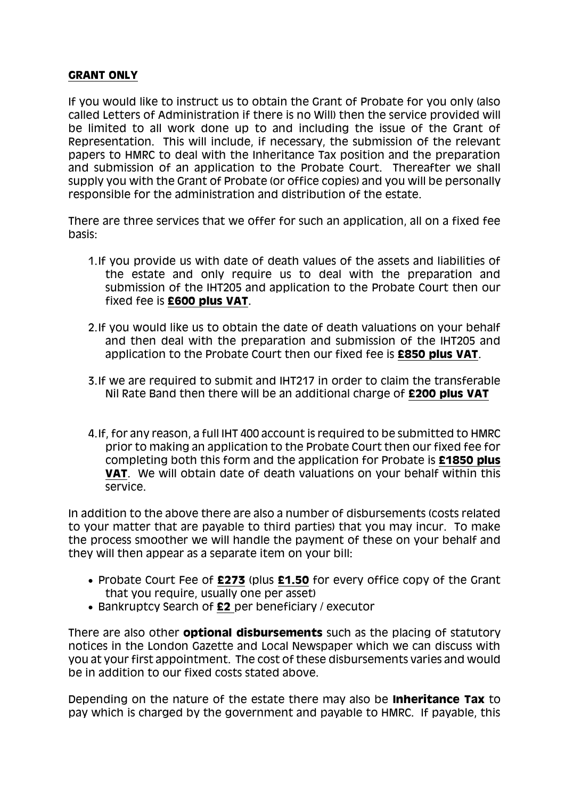## **GRANT ONLY**

If you would like to instruct us to obtain the Grant of Probate for you only (also called Letters of Administration if there is no Will) then the service provided will be limited to all work done up to and including the issue of the Grant of Representation. This will include, if necessary, the submission of the relevant papers to HMRC to deal with the Inheritance Tax position and the preparation and submission of an application to the Probate Court. Thereafter we shall supply you with the Grant of Probate (or office copies) and you will be personally responsible for the administration and distribution of the estate.

There are three services that we offer for such an application, all on a fixed fee basis:

- 1.If you provide us with date of death values of the assets and liabilities of the estate and only require us to deal with the preparation and submission of the IHT205 and application to the Probate Court then our fixed fee is **£600 plus VAT**.
- 2.If you would like us to obtain the date of death valuations on your behalf and then deal with the preparation and submission of the IHT205 and application to the Probate Court then our fixed fee is **£850 plus VAT**.
- 3.If we are required to submit and IHT217 in order to claim the transferable Nil Rate Band then there will be an additional charge of **£200 plus VAT**
- 4.If, for any reason, a full IHT 400 account is required to be submitted to HMRC prior to making an application to the Probate Court then our fixed fee for completing both this form and the application for Probate is **£1850 plus VAT**. We will obtain date of death valuations on your behalf within this service.

In addition to the above there are also a number of disbursements (costs related to your matter that are payable to third parties) that you may incur. To make the process smoother we will handle the payment of these on your behalf and they will then appear as a separate item on your bill:

- Probate Court Fee of £273 (plus £1.50 for every office copy of the Grant that you require, usually one per asset)
- Bankruptcy Search of **£2** per beneficiary / executor

There are also other **optional disbursements** such as the placing of statutory notices in the London Gazette and Local Newspaper which we can discuss with you at your first appointment. The cost of these disbursements varies and would be in addition to our fixed costs stated above.

Depending on the nature of the estate there may also be **Inheritance Tax** to pay which is charged by the government and payable to HMRC. If payable, this